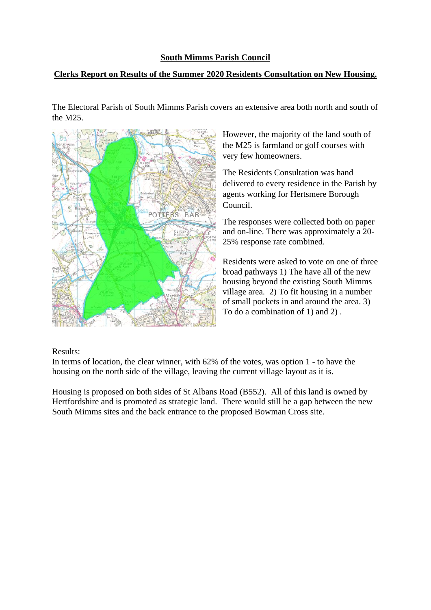## **South Mimms Parish Council**

## **Clerks Report on Results of the Summer 2020 Residents Consultation on New Housing.**

The Electoral Parish of South Mimms Parish covers an extensive area both north and south of the M25.



However, the majority of the land south of the M25 is farmland or golf courses with very few homeowners.

The Residents Consultation was hand delivered to every residence in the Parish by agents working for Hertsmere Borough Council.

The responses were collected both on paper and on-line. There was approximately a 20- 25% response rate combined.

Residents were asked to vote on one of three broad pathways 1) The have all of the new housing beyond the existing South Mimms village area. 2) To fit housing in a number of small pockets in and around the area. 3) To do a combination of 1) and 2) .

## Results:

In terms of location, the clear winner, with 62% of the votes, was option 1 - to have the housing on the north side of the village, leaving the current village layout as it is.

Housing is proposed on both sides of St Albans Road (B552). All of this land is owned by Hertfordshire and is promoted as strategic land. There would still be a gap between the new South Mimms sites and the back entrance to the proposed Bowman Cross site.